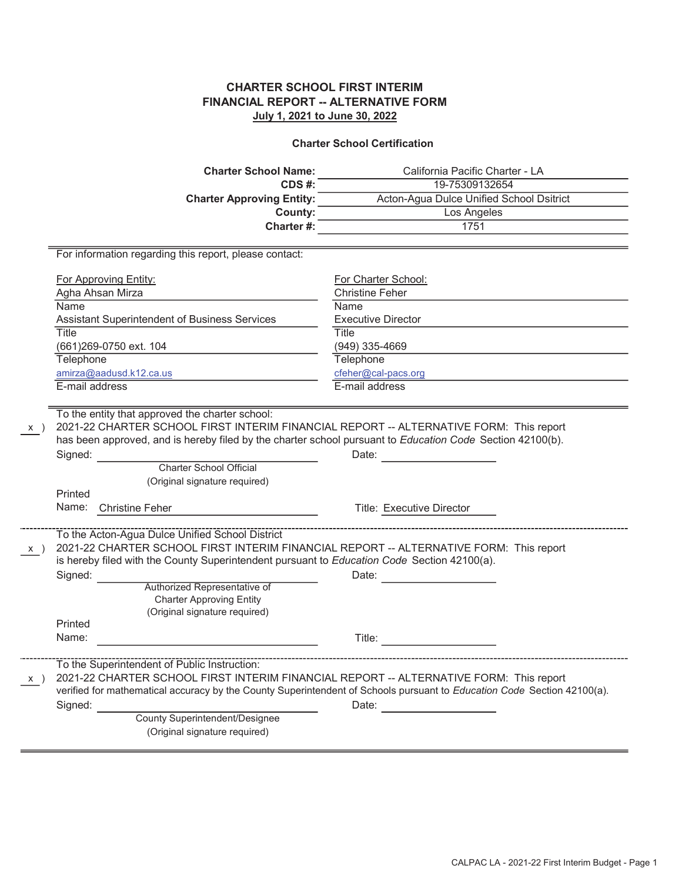## CHARTER SCHOOL FIRST INTERIM FINANCIAL REPORT -- ALTERNATIVE FORM July 1, 2021 to June 30, 2022

#### Charter School Certification

|          | <b>Charter School Name:</b>                                                                                                                                                                                                                                                                                                                                                                                                                                                                                                                                                                                                                                 | California Pacific Charter - LA                                                                                                  |
|----------|-------------------------------------------------------------------------------------------------------------------------------------------------------------------------------------------------------------------------------------------------------------------------------------------------------------------------------------------------------------------------------------------------------------------------------------------------------------------------------------------------------------------------------------------------------------------------------------------------------------------------------------------------------------|----------------------------------------------------------------------------------------------------------------------------------|
|          | CDS #:                                                                                                                                                                                                                                                                                                                                                                                                                                                                                                                                                                                                                                                      | 19-75309132654                                                                                                                   |
|          | <b>Charter Approving Entity:</b>                                                                                                                                                                                                                                                                                                                                                                                                                                                                                                                                                                                                                            | Acton-Agua Dulce Unified School Dsitrict                                                                                         |
|          | County:                                                                                                                                                                                                                                                                                                                                                                                                                                                                                                                                                                                                                                                     | Los Angeles                                                                                                                      |
|          | Charter#:                                                                                                                                                                                                                                                                                                                                                                                                                                                                                                                                                                                                                                                   | 1751                                                                                                                             |
|          |                                                                                                                                                                                                                                                                                                                                                                                                                                                                                                                                                                                                                                                             |                                                                                                                                  |
|          | For information regarding this report, please contact:                                                                                                                                                                                                                                                                                                                                                                                                                                                                                                                                                                                                      |                                                                                                                                  |
|          | For Approving Entity:                                                                                                                                                                                                                                                                                                                                                                                                                                                                                                                                                                                                                                       | For Charter School:                                                                                                              |
|          | Agha Ahsan Mirza                                                                                                                                                                                                                                                                                                                                                                                                                                                                                                                                                                                                                                            | <b>Christine Feher</b>                                                                                                           |
|          | Name                                                                                                                                                                                                                                                                                                                                                                                                                                                                                                                                                                                                                                                        | Name                                                                                                                             |
|          | Assistant Superintendent of Business Services                                                                                                                                                                                                                                                                                                                                                                                                                                                                                                                                                                                                               | <b>Executive Director</b>                                                                                                        |
|          | <b>Title</b>                                                                                                                                                                                                                                                                                                                                                                                                                                                                                                                                                                                                                                                | Title                                                                                                                            |
|          | (661) 269-0750 ext. 104                                                                                                                                                                                                                                                                                                                                                                                                                                                                                                                                                                                                                                     | (949) 335-4669                                                                                                                   |
|          | Telephone                                                                                                                                                                                                                                                                                                                                                                                                                                                                                                                                                                                                                                                   | Telephone                                                                                                                        |
|          | amirza@aadusd.k12.ca.us                                                                                                                                                                                                                                                                                                                                                                                                                                                                                                                                                                                                                                     | cfeher@cal-pacs.org                                                                                                              |
|          | E-mail address                                                                                                                                                                                                                                                                                                                                                                                                                                                                                                                                                                                                                                              | E-mail address                                                                                                                   |
|          |                                                                                                                                                                                                                                                                                                                                                                                                                                                                                                                                                                                                                                                             |                                                                                                                                  |
| X)<br>X) | 2021-22 CHARTER SCHOOL FIRST INTERIM FINANCIAL REPORT -- ALTERNATIVE FORM: This report<br>has been approved, and is hereby filed by the charter school pursuant to Education Code Section 42100(b).<br>Signed:<br><b>Charter School Official</b><br>(Original signature required)<br>Printed<br><b>Christine Feher</b><br>Name:<br>2021-22 CHARTER SCHOOL FIRST INTERIM FINANCIAL REPORT -- ALTERNATIVE FORM: This report<br>is hereby filed with the County Superintendent pursuant to Education Code Section 42100(a).<br>Signed:<br>Authorized Representative of<br><b>Charter Approving Entity</b><br>(Original signature required)<br>Printed<br>Name: | Date:<br>Title: Executive Director<br>Date:<br>Title:                                                                            |
|          |                                                                                                                                                                                                                                                                                                                                                                                                                                                                                                                                                                                                                                                             |                                                                                                                                  |
| X)       | To the Superintendent of Public Instruction:<br>2021-22 CHARTER SCHOOL FIRST INTERIM FINANCIAL REPORT -- ALTERNATIVE FORM: This report<br>Signed:<br><b>County Superintendent/Designee</b>                                                                                                                                                                                                                                                                                                                                                                                                                                                                  | verified for mathematical accuracy by the County Superintendent of Schools pursuant to Education Code Section 42100(a).<br>Date: |
|          | (Original signature required)                                                                                                                                                                                                                                                                                                                                                                                                                                                                                                                                                                                                                               |                                                                                                                                  |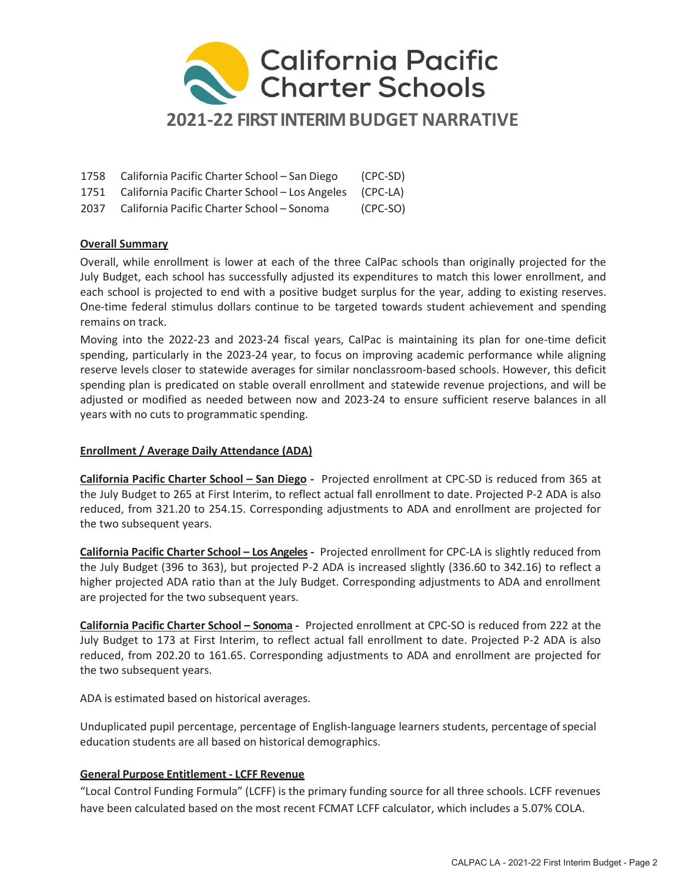

| 1758 California Pacific Charter School – San Diego            | (CPC-SD) |
|---------------------------------------------------------------|----------|
| 1751 California Pacific Charter School - Los Angeles (CPC-LA) |          |

2037 California Pacific Charter School – Sonoma (CPC-SO)

# Overall Summary

Overall, while enrollment is lower at each of the three CalPac schools than originally projected for the July Budget, each school has successfully adjusted its expenditures to match this lower enrollment, and each school is projected to end with a positive budget surplus for the year, adding to existing reserves. One-time federal stimulus dollars continue to be targeted towards student achievement and spending remains on track.

Moving into the 2022-23 and 2023-24 fiscal years, CalPac is maintaining its plan for one-time deficit spending, particularly in the 2023-24 year, to focus on improving academic performance while aligning reserve levels closer to statewide averages for similar nonclassroom-based schools. However, this deficit spending plan is predicated on stable overall enrollment and statewide revenue projections, and will be adjusted or modified as needed between now and 2023-24 to ensure sufficient reserve balances in all years with no cuts to programmatic spending.

## Enrollment / Average Daily Attendance (ADA)

California Pacific Charter School – San Diego - Projected enrollment at CPC-SD is reduced from 365 at the July Budget to 265 at First Interim, to reflect actual fall enrollment to date. Projected P-2 ADA is also reduced, from 321.20 to 254.15. Corresponding adjustments to ADA and enrollment are projected for the two subsequent years.

California Pacific Charter School – Los Angeles - Projected enrollment for CPC-LA is slightly reduced from the July Budget (396 to 363), but projected P-2 ADA is increased slightly (336.60 to 342.16) to reflect a higher projected ADA ratio than at the July Budget. Corresponding adjustments to ADA and enrollment are projected for the two subsequent years.

California Pacific Charter School – Sonoma - Projected enrollment at CPC-SO is reduced from 222 at the July Budget to 173 at First Interim, to reflect actual fall enrollment to date. Projected P-2 ADA is also reduced, from 202.20 to 161.65. Corresponding adjustments to ADA and enrollment are projected for the two subsequent years.

ADA is estimated based on historical averages.

Unduplicated pupil percentage, percentage of English-language learners students, percentage of special education students are all based on historical demographics.

# General Purpose Entitlement - LCFF Revenue

"Local Control Funding Formula" (LCFF) is the primary funding source for all three schools. LCFF revenues have been calculated based on the most recent FCMAT LCFF calculator, which includes a 5.07% COLA.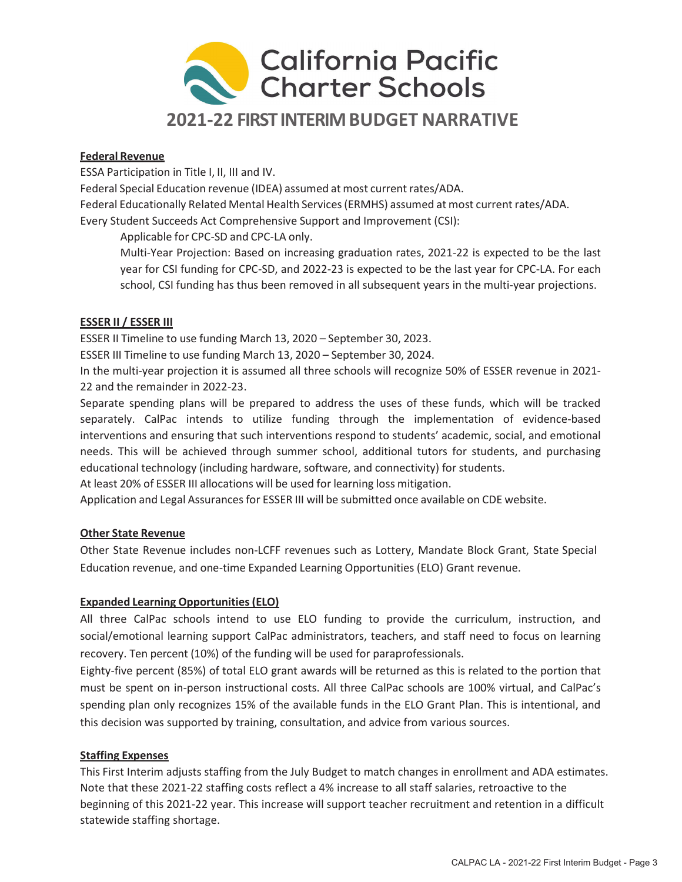

### Federal Revenue

ESSA Participation in Title I, II, III and IV.

Federal Special Education revenue (IDEA) assumed at most current rates/ADA.

Federal Educationally Related Mental Health Services (ERMHS) assumed at most current rates/ADA. Every Student Succeeds Act Comprehensive Support and Improvement (CSI):

Applicable for CPC-SD and CPC-LA only.

Multi-Year Projection: Based on increasing graduation rates, 2021-22 is expected to be the last year for CSI funding for CPC-SD, and 2022-23 is expected to be the last year for CPC-LA. For each school, CSI funding has thus been removed in all subsequent years in the multi-year projections.

#### ESSER II / ESSER III

ESSER II Timeline to use funding March 13, 2020 – September 30, 2023.

ESSER III Timeline to use funding March 13, 2020 – September 30, 2024.

In the multi-year projection it is assumed all three schools will recognize 50% of ESSER revenue in 2021- 22 and the remainder in 2022-23.

Separate spending plans will be prepared to address the uses of these funds, which will be tracked separately. CalPac intends to utilize funding through the implementation of evidence-based interventions and ensuring that such interventions respond to students' academic, social, and emotional needs. This will be achieved through summer school, additional tutors for students, and purchasing educational technology (including hardware, software, and connectivity) for students.

At least 20% of ESSER III allocations will be used for learning loss mitigation.

Application and Legal Assurances for ESSER III will be submitted once available on CDE website.

## Other State Revenue

Other State Revenue includes non-LCFF revenues such as Lottery, Mandate Block Grant, State Special Education revenue, and one-time Expanded Learning Opportunities (ELO) Grant revenue.

## Expanded Learning Opportunities (ELO)

All three CalPac schools intend to use ELO funding to provide the curriculum, instruction, and social/emotional learning support CalPac administrators, teachers, and staff need to focus on learning recovery. Ten percent (10%) of the funding will be used for paraprofessionals.

Eighty-five percent (85%) of total ELO grant awards will be returned as this is related to the portion that must be spent on in-person instructional costs. All three CalPac schools are 100% virtual, and CalPac's spending plan only recognizes 15% of the available funds in the ELO Grant Plan. This is intentional, and this decision was supported by training, consultation, and advice from various sources.

#### Staffing Expenses

This First Interim adjusts staffing from the July Budget to match changes in enrollment and ADA estimates. Note that these 2021-22 staffing costs reflect a 4% increase to all staff salaries, retroactive to the beginning of this 2021-22 year. This increase will support teacher recruitment and retention in a difficult statewide staffing shortage.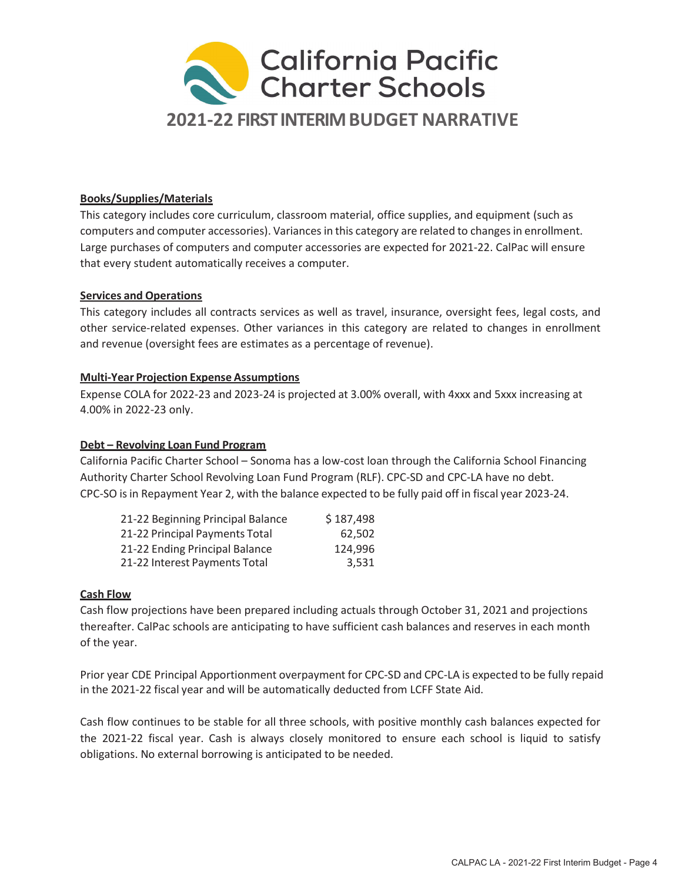

## Books/Supplies/Materials

This category includes core curriculum, classroom material, office supplies, and equipment (such as computers and computer accessories). Variances in this category are related to changes in enrollment. Large purchases of computers and computer accessories are expected for 2021-22. CalPac will ensure that every student automatically receives a computer.

#### Services and Operations

This category includes all contracts services as well as travel, insurance, oversight fees, legal costs, and other service-related expenses. Other variances in this category are related to changes in enrollment and revenue (oversight fees are estimates as a percentage of revenue).

#### Multi-Year Projection Expense Assumptions

Expense COLA for 2022-23 and 2023-24 is projected at 3.00% overall, with 4xxx and 5xxx increasing at 4.00% in 2022-23 only.

### Debt – Revolving Loan Fund Program

California Pacific Charter School – Sonoma has a low-cost loan through the California School Financing Authority Charter School Revolving Loan Fund Program (RLF). CPC-SD and CPC-LA have no debt. CPC-SO is in Repayment Year 2, with the balance expected to be fully paid off in fiscal year 2023-24.

| 21-22 Beginning Principal Balance | \$187,498 |
|-----------------------------------|-----------|
| 21-22 Principal Payments Total    | 62.502    |
| 21-22 Ending Principal Balance    | 124,996   |
| 21-22 Interest Payments Total     | 3.531     |

#### Cash Flow

Cash flow projections have been prepared including actuals through October 31, 2021 and projections thereafter. CalPac schools are anticipating to have sufficient cash balances and reserves in each month of the year.

Prior year CDE Principal Apportionment overpayment for CPC-SD and CPC-LA is expected to be fully repaid in the 2021-22 fiscal year and will be automatically deducted from LCFF State Aid.

Cash flow continues to be stable for all three schools, with positive monthly cash balances expected for the 2021-22 fiscal year. Cash is always closely monitored to ensure each school is liquid to satisfy obligations. No external borrowing is anticipated to be needed.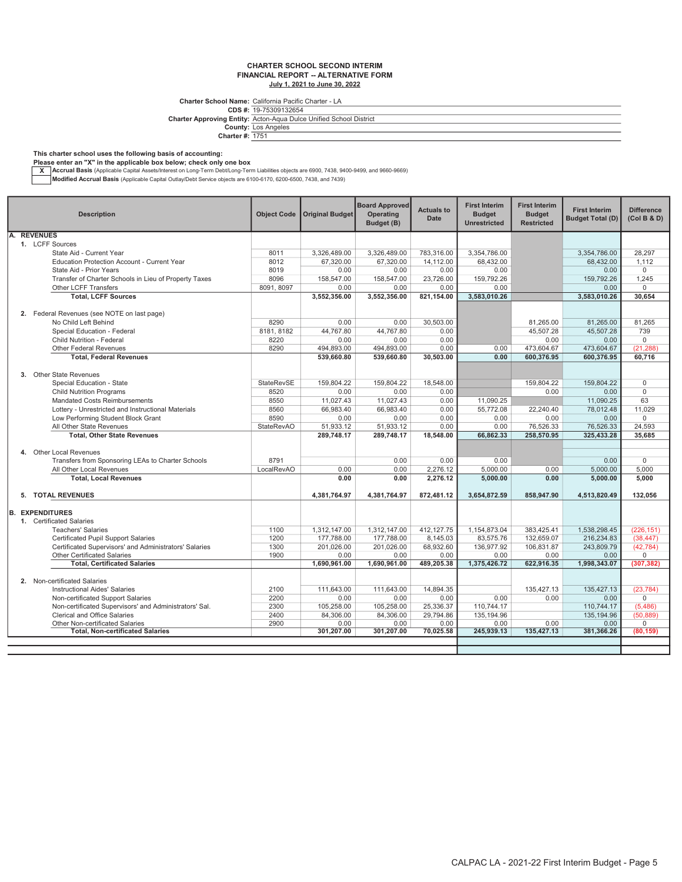#### CHARTER SCHOOL SECOND INTERIM FINANCIAL REPORT -- ALTERNATIVE FORM July 1, 2021 to June 30, 2022

Charter School Name: California Pacific Charter - LA<br>CDS #: 19-75309132654

Charter Approving Entity: Acton-Aqua Dulce Unified School District

County: Charter #: Los Angeles 1751

#### This charter school uses the following basis of accounting:

Please enter an "X" in the applicable box below; check only one box<br>
X Accrual Basis (Applicable Capital Assets/Interest on Long-Term Debt/Long-Term Liabilities objects are 6900, 7438, 9400-9499, and 9660-9669)

Modified Accrual Basis (Applicable Capital Outlay/Debt Service objects are 6100-6170, 6200-6500, 7438, and 7439)

|    | <b>Description</b>                                                                          | <b>Object Code</b> | <b>Original Budget</b> | <b>Board Approved</b><br>Operating<br>Budget (B) | <b>Actuals to</b><br><b>Date</b> | <b>First Interim</b><br><b>Budget</b><br><b>Unrestricted</b> | <b>First Interim</b><br><b>Budget</b><br><b>Restricted</b> | <b>First Interim</b><br><b>Budget Total (D)</b> | <b>Difference</b><br>(Col B & D) |
|----|---------------------------------------------------------------------------------------------|--------------------|------------------------|--------------------------------------------------|----------------------------------|--------------------------------------------------------------|------------------------------------------------------------|-------------------------------------------------|----------------------------------|
| A. | <b>REVENUES</b>                                                                             |                    |                        |                                                  |                                  |                                                              |                                                            |                                                 |                                  |
|    | 1. LCFF Sources                                                                             |                    |                        |                                                  |                                  |                                                              |                                                            |                                                 |                                  |
|    | State Aid - Current Year                                                                    | 8011               | 3,326,489.00           | 3.326.489.00                                     | 783.316.00                       | 3,354,786.00                                                 |                                                            | 3.354.786.00                                    | 28.297                           |
|    | Education Protection Account - Current Year                                                 | 8012               | 67,320.00              | 67.320.00                                        | 14,112.00                        | 68.432.00                                                    |                                                            | 68.432.00                                       | 1.112                            |
|    | State Aid - Prior Years                                                                     | 8019               | 0.00                   | 0.00                                             | 0.00                             | 0.00                                                         |                                                            | 0.00                                            | $\mathbf 0$                      |
|    | Transfer of Charter Schools in Lieu of Property Taxes                                       | 8096               | 158,547.00             | 158,547.00                                       | 23,726.00                        | 159.792.26                                                   |                                                            | 159.792.26                                      | 1.245                            |
|    | Other LCFF Transfers                                                                        | 8091, 8097         | 0.00                   | 0.00                                             | 0.00                             | 0.00                                                         |                                                            | 0.00                                            | $\mathbf 0$                      |
|    | <b>Total. LCFF Sources</b>                                                                  |                    | 3,552,356.00           | 3,552,356.00                                     | 821,154.00                       | 3,583,010.26                                                 |                                                            | 3.583.010.26                                    | 30.654                           |
|    | 2. Federal Revenues (see NOTE on last page)                                                 |                    |                        |                                                  |                                  |                                                              |                                                            |                                                 |                                  |
|    | No Child Left Behind                                                                        | 8290               | 0.00                   | 0.00                                             | 30.503.00                        |                                                              | 81.265.00                                                  | 81.265.00                                       | 81.265                           |
|    | Special Education - Federal                                                                 | 8181, 8182         | 44.767.80              | 44.767.80                                        | 0.00                             |                                                              | 45.507.28                                                  | 45.507.28                                       | 739                              |
|    | <b>Child Nutrition - Federal</b>                                                            | 8220               | 0.00                   | 0.00                                             | 0.00                             |                                                              | 0.00                                                       | 0.00                                            | $\Omega$                         |
|    | <b>Other Federal Revenues</b>                                                               | 8290               | 494,893.00             | 494,893.00                                       | 0.00                             | 0.00                                                         | 473,604.67                                                 | 473,604.67                                      | (21, 288)                        |
|    | <b>Total, Federal Revenues</b>                                                              |                    | 539.660.80             | 539.660.80                                       | 30,503.00                        | 0.00                                                         | 600,376.95                                                 | 600.376.95                                      | 60.716                           |
|    |                                                                                             |                    |                        |                                                  |                                  |                                                              |                                                            |                                                 |                                  |
|    | 3. Other State Revenues                                                                     |                    |                        |                                                  |                                  |                                                              |                                                            |                                                 |                                  |
|    | Special Education - State                                                                   | StateRevSE         | 159,804.22             | 159,804.22                                       | 18,548.00                        |                                                              | 159,804.22                                                 | 159.804.22                                      | $\mathbf 0$                      |
|    | <b>Child Nutrition Programs</b>                                                             | 8520               | 0.00                   | 0.00                                             | 0.00                             |                                                              | 0.00                                                       | 0.00                                            | $\Omega$                         |
|    | Mandated Costs Reimbursements                                                               | 8550               | 11,027.43              | 11,027.43                                        | 0.00                             | 11,090.25                                                    |                                                            | 11,090.25                                       | 63                               |
|    | Lottery - Unrestricted and Instructional Materials                                          | 8560               | 66,983.40              | 66,983.40                                        | 0.00                             | 55,772.08                                                    | 22,240.40                                                  | 78,012.48                                       | 11,029                           |
|    | Low Performing Student Block Grant                                                          | 8590               | 0.00                   | 0.00                                             | 0.00                             | 0.00                                                         | 0.00                                                       | 0.00                                            | $\Omega$                         |
|    | All Other State Revenues                                                                    | <b>StateRevAO</b>  | 51,933.12              | 51,933.12                                        | 0.00                             | 0.00                                                         | 76,526.33                                                  | 76,526.33                                       | 24,593                           |
|    | <b>Total, Other State Revenues</b>                                                          |                    | 289,748.17             | 289,748.17                                       | 18,548.00                        | 66,862.33                                                    | 258,570.95                                                 | 325,433.28                                      | 35,685                           |
|    |                                                                                             |                    |                        |                                                  |                                  |                                                              |                                                            |                                                 |                                  |
|    | 4. Other Local Revenues<br>Transfers from Sponsoring LEAs to Charter Schools                | 8791               |                        | 0.00                                             | 0.00                             | 0.00                                                         |                                                            | 0.00                                            | $\mathbf 0$                      |
|    | All Other Local Revenues                                                                    | LocalRevAO         | 0.00                   | 0.00                                             | 2,276.12                         | 5,000.00                                                     | 0.00                                                       | 5,000.00                                        | 5,000                            |
|    | <b>Total, Local Revenues</b>                                                                |                    | 0.00                   | 0.00                                             | 2.276.12                         | 5.000.00                                                     | 0.00                                                       | 5.000.00                                        | 5.000                            |
|    |                                                                                             |                    |                        |                                                  |                                  |                                                              |                                                            |                                                 |                                  |
|    | 5. TOTAL REVENUES                                                                           |                    | 4,381,764.97           | 4,381,764.97                                     | 872.481.12                       | 3,654,872.59                                                 | 858,947.90                                                 | 4,513,820.49                                    | 132,056                          |
|    |                                                                                             |                    |                        |                                                  |                                  |                                                              |                                                            |                                                 |                                  |
|    | <b>B. EXPENDITURES</b>                                                                      |                    |                        |                                                  |                                  |                                                              |                                                            |                                                 |                                  |
|    | 1. Certificated Salaries                                                                    |                    |                        |                                                  |                                  |                                                              |                                                            |                                                 |                                  |
|    | <b>Teachers' Salaries</b>                                                                   | 1100               | 1,312,147.00           | 1,312,147.00                                     | 412, 127.75                      | 1,154,873.04                                                 | 383,425.41                                                 | 1,538,298.45                                    | (226, 151)                       |
|    | Certificated Pupil Support Salaries                                                         | 1200               | 177,788.00             | 177.788.00                                       | 8,145.03                         | 83.575.76                                                    | 132.659.07                                                 | 216.234.83                                      | (38, 447)                        |
|    | Certificated Supervisors' and Administrators' Salaries                                      | 1300               | 201,026.00             | 201,026.00                                       | 68,932.60                        | 136,977.92                                                   | 106,831.87                                                 | 243,809.79                                      | (42, 784)                        |
|    | <b>Other Certificated Salaries</b>                                                          | 1900               | 0.00                   | 0.00                                             | 0.00                             | 0.00                                                         | 0.00                                                       | 0.00                                            | $\overline{0}$                   |
|    | <b>Total, Certificated Salaries</b>                                                         |                    | 1,690,961.00           | 1,690,961.00                                     | 489,205.38                       | 1,375,426.72                                                 | 622,916.35                                                 | 1,998,343.07                                    | (307, 382)                       |
|    |                                                                                             |                    |                        |                                                  |                                  |                                                              |                                                            |                                                 |                                  |
|    | 2. Non-certificated Salaries                                                                |                    |                        |                                                  |                                  |                                                              |                                                            |                                                 |                                  |
|    | <b>Instructional Aides' Salaries</b>                                                        | 2100<br>2200       | 111,643.00<br>0.00     | 111,643.00<br>0.00                               | 14,894.35<br>0.00                | 0.00                                                         | 135,427.13<br>0.00                                         | 135,427.13<br>0.00                              | (23, 784)<br>$\Omega$            |
|    | Non-certificated Support Salaries<br>Non-certificated Supervisors' and Administrators' Sal. | 2300               | 105,258.00             | 105,258.00                                       | 25,336.37                        | 110,744.17                                                   |                                                            | 110,744.17                                      | (5, 486)                         |
|    | Clerical and Office Salaries                                                                | 2400               | 84,306.00              | 84,306.00                                        | 29,794.86                        | 135, 194.96                                                  |                                                            | 135, 194.96                                     | (50, 889)                        |
|    | Other Non-certificated Salaries                                                             | 2900               | 0.00                   | 0.00                                             | 0.00                             | 0.00                                                         | 0.00                                                       | 0.00                                            | $\mathbf 0$                      |
|    | <b>Total, Non-certificated Salaries</b>                                                     |                    | 301,207.00             | 301,207.00                                       | 70,025.58                        | 245,939.13                                                   | 135,427.13                                                 | 381,366.26                                      | (80, 159)                        |
|    |                                                                                             |                    |                        |                                                  |                                  |                                                              |                                                            |                                                 |                                  |
|    |                                                                                             |                    |                        |                                                  |                                  |                                                              |                                                            |                                                 |                                  |
|    |                                                                                             |                    |                        |                                                  |                                  |                                                              |                                                            |                                                 |                                  |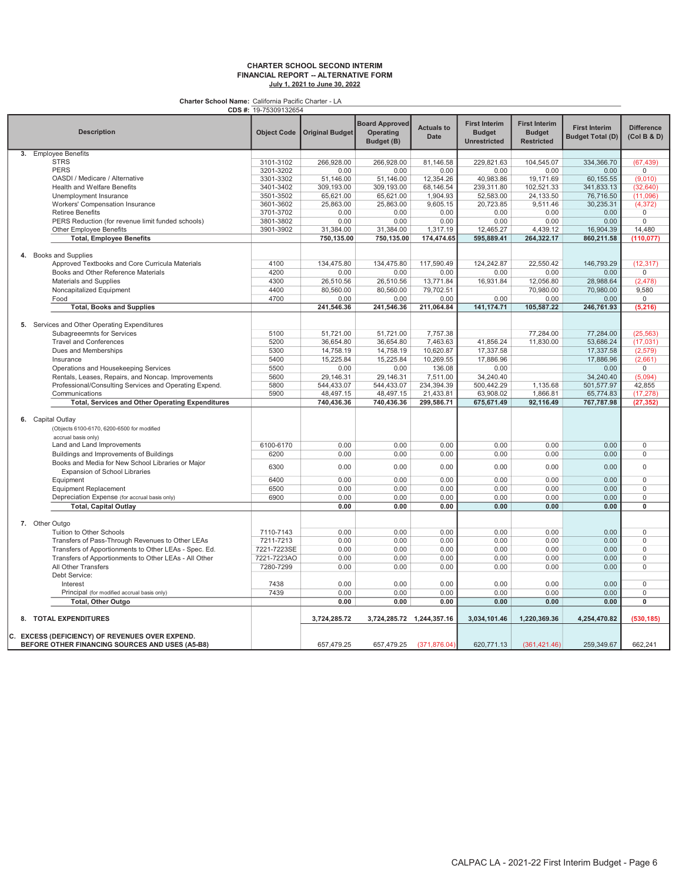#### CHARTER SCHOOL SECOND INTERIM FINANCIAL REPORT -- ALTERNATIVE FORM July 1, 2021 to June 30, 2022

|                                                         | CDS #: 19-75309132654 |                        |                                                  |                           |                                                              |                                                            |                                                 |                                  |
|---------------------------------------------------------|-----------------------|------------------------|--------------------------------------------------|---------------------------|--------------------------------------------------------------|------------------------------------------------------------|-------------------------------------------------|----------------------------------|
| <b>Description</b>                                      | <b>Object Code</b>    | <b>Original Budget</b> | <b>Board Approved</b><br>Operating<br>Budget (B) | <b>Actuals to</b><br>Date | <b>First Interim</b><br><b>Budget</b><br><b>Unrestricted</b> | <b>First Interim</b><br><b>Budget</b><br><b>Restricted</b> | <b>First Interim</b><br><b>Budget Total (D)</b> | <b>Difference</b><br>(Col B & D) |
| 3. Employee Benefits                                    |                       |                        |                                                  |                           |                                                              |                                                            |                                                 |                                  |
| <b>STRS</b>                                             | 3101-3102             | 266,928.00             | 266,928.00                                       | 81,146.58                 | 229,821.63                                                   | 104,545.07                                                 | 334,366.70                                      | (67, 439)                        |
| <b>PERS</b>                                             | 3201-3202             | 0.00                   | 0.00                                             | 0.00                      | 0.00                                                         | 0.00                                                       | 0.00                                            | $\overline{0}$                   |
| OASDI / Medicare / Alternative                          | 3301-3302             | 51.146.00              | 51.146.00                                        | 12,354.26                 | 40,983.86                                                    | 19.171.69                                                  | 60,155.55                                       | (9,010)                          |
| Health and Welfare Benefits                             | 3401-3402             | 309,193.00             | 309,193.00                                       | 68,146.54                 | 239,311.80                                                   | 102,521.33                                                 | 341,833.13                                      | (32, 640)                        |
| Unemployment Insurance                                  | 3501-3502             | 65,621.00              | 65,621.00                                        | 1,904.93                  | 52,583.00                                                    | 24,133.50                                                  | 76,716.50                                       | (11,096)                         |
| Workers' Compensation Insurance                         | 3601-3602             | 25,863.00              | 25,863.00                                        | 9,605.15                  | 20,723.85                                                    | 9,511.46                                                   | 30,235.31                                       | (4, 372)                         |
| <b>Retiree Benefits</b>                                 | 3701-3702             | 0.00                   | 0.00                                             | 0.00                      | 0.00                                                         | 0.00                                                       | 0.00                                            | $\mathsf 0$                      |
| PERS Reduction (for revenue limit funded schools)       | 3801-3802             | 0.00                   | 0.00                                             | 0.00                      | 0.00                                                         | 0.00                                                       | 0.00                                            | $\mathbf{0}$                     |
| <b>Other Employee Benefits</b>                          | 3901-3902             | 31,384.00              | 31,384.00                                        | 1,317.19                  | 12.465.27                                                    | 4,439.12                                                   | 16,904.39                                       | 14,480                           |
| <b>Total, Employee Benefits</b>                         |                       | 750,135.00             | 750,135.00                                       | 174,474.65                | 595,889.41                                                   | 264,322.17                                                 | 860,211.58                                      | (110, 077)                       |
|                                                         |                       |                        |                                                  |                           |                                                              |                                                            |                                                 |                                  |
|                                                         |                       |                        |                                                  |                           |                                                              |                                                            |                                                 |                                  |
| 4. Books and Supplies                                   |                       |                        |                                                  |                           |                                                              |                                                            |                                                 |                                  |
| Approved Textbooks and Core Curricula Materials         | 4100                  | 134,475.80             | 134.475.80                                       | 117.590.49                | 124.242.87                                                   | 22.550.42                                                  | 146.793.29                                      | (12, 317)                        |
| Books and Other Reference Materials                     | 4200                  | 0.00                   | 0.00                                             | 0.00                      | 0.00                                                         | 0.00                                                       | 0.00                                            | $\mathsf 0$                      |
| Materials and Supplies                                  | 4300                  | 26,510.56              | 26,510.56                                        | 13,771.84                 | 16,931.84                                                    | 12,056.80                                                  | 28,988.64                                       | (2, 478)                         |
| Noncapitalized Equipment                                | 4400                  | 80,560.00              | 80,560.00                                        | 79,702.51                 |                                                              | 70,980.00                                                  | 70,980.00                                       | 9,580                            |
| Food                                                    | 4700                  | 0.00                   | 0.00                                             | 0.00                      | 0.00                                                         | 0.00                                                       | 0.00                                            | 0                                |
| <b>Total, Books and Supplies</b>                        |                       | 241,546.36             | 241,546.36                                       | 211,064.84                | 141, 174. 71                                                 | 105,587.22                                                 | 246,761.93                                      | (5, 216)                         |
|                                                         |                       |                        |                                                  |                           |                                                              |                                                            |                                                 |                                  |
| 5. Services and Other Operating Expenditures            |                       |                        |                                                  |                           |                                                              |                                                            |                                                 |                                  |
| Subagreeemnts for Services                              | 5100                  | 51,721.00              | 51,721.00                                        | 7,757.38                  |                                                              | 77,284.00                                                  | 77,284.00                                       | (25, 563)                        |
| <b>Travel and Conferences</b>                           | 5200                  | 36,654.80              | 36,654.80                                        | 7,463.63                  | 41,856.24                                                    | 11,830.00                                                  | 53,686.24                                       | (17, 031)                        |
| Dues and Memberships                                    | 5300                  | 14,758.19              | 14,758.19                                        | 10,620.87                 | 17,337.58                                                    |                                                            | 17,337.58                                       | (2,579)                          |
| Insurance                                               | 5400                  | 15,225.84              | 15,225.84                                        | 10,269.55                 | 17,886.96                                                    |                                                            | 17,886.96                                       | (2,661)                          |
| Operations and Housekeeping Services                    | 5500                  | 0.00                   | 0.00                                             | 136.08                    | 0.00                                                         |                                                            | 0.00                                            | $\mathbf 0$                      |
| Rentals, Leases, Repairs, and Noncap. Improvements      | 5600                  | 29,146.31              | 29,146.31                                        | 7,511.00                  | 34,240.40                                                    |                                                            | 34,240.40                                       | (5,094)                          |
|                                                         | 5800                  | 544,433.07             | 544,433.07                                       | 234,394.39                | 500,442.29                                                   | 1,135.68                                                   | 501,577.97                                      | 42,855                           |
| Professional/Consulting Services and Operating Expend.  |                       |                        |                                                  |                           |                                                              |                                                            |                                                 |                                  |
| Communications                                          | 5900                  | 48,497.15              | 48,497.15                                        | 21,433.81                 | 63,908.02                                                    | 1,866.81                                                   | 65,774.83                                       | (17, 278)                        |
| <b>Total, Services and Other Operating Expenditures</b> |                       | 740,436.36             | 740,436.36                                       | 299,586.71                | 675,671.49                                                   | 92,116.49                                                  | 767,787.98                                      | (27, 352)                        |
|                                                         |                       |                        |                                                  |                           |                                                              |                                                            |                                                 |                                  |
| 6. Capital Outlay                                       |                       |                        |                                                  |                           |                                                              |                                                            |                                                 |                                  |
| (Objects 6100-6170, 6200-6500 for modified              |                       |                        |                                                  |                           |                                                              |                                                            |                                                 |                                  |
| accrual basis only)                                     |                       |                        |                                                  |                           |                                                              |                                                            |                                                 |                                  |
| Land and Land Improvements                              | 6100-6170             | 0.00                   | 0.00                                             | 0.00                      | 0.00                                                         | 0.00                                                       | 0.00                                            | $\mathsf 0$                      |
| Buildings and Improvements of Buildings                 | 6200                  | 0.00                   | 0.00                                             | 0.00                      | 0.00                                                         | 0.00                                                       | 0.00                                            | $\mathbf 0$                      |
| Books and Media for New School Libraries or Major       | 6300                  | 0.00                   | 0.00                                             | 0.00                      | 0.00                                                         | 0.00                                                       | 0.00                                            | $\mathbf 0$                      |
| Expansion of School Libraries                           |                       |                        |                                                  |                           |                                                              |                                                            |                                                 |                                  |
| Equipment                                               | 6400                  | 0.00                   | 0.00                                             | 0.00                      | 0.00                                                         | 0.00                                                       | 0.00                                            | $\overline{0}$                   |
| <b>Equipment Replacement</b>                            | 6500                  | 0.00                   | 0.00                                             | 0.00                      | 0.00                                                         | 0.00                                                       | 0.00                                            | $\mathbf 0$                      |
| Depreciation Expense (for accrual basis only)           | 6900                  | 0.00                   | 0.00                                             | 0.00                      | 0.00                                                         | 0.00                                                       | 0.00                                            | 0                                |
| <b>Total, Capital Outlay</b>                            |                       | 0.00                   | 0.00                                             | 0.00                      | 0.00                                                         | 0.00                                                       | 0.00                                            | $\mathbf{0}$                     |
|                                                         |                       |                        |                                                  |                           |                                                              |                                                            |                                                 |                                  |
| 7. Other Outgo                                          |                       |                        |                                                  |                           |                                                              |                                                            |                                                 |                                  |
| Tuition to Other Schools                                | 7110-7143             | 0.00                   | 0.00                                             | 0.00                      | 0.00                                                         | 0.00                                                       | 0.00                                            | $\mathsf 0$                      |
| Transfers of Pass-Through Revenues to Other LEAs        | 7211-7213             | 0.00                   | 0.00                                             | 0.00                      | 0.00                                                         | 0.00                                                       | 0.00                                            | $\Omega$                         |
|                                                         | 7221-7223SE           | 0.00                   | 0.00                                             | 0.00                      | 0.00                                                         | 0.00                                                       | 0.00                                            | $\mathbf 0$                      |
| Transfers of Apportionments to Other LEAs - Spec. Ed.   |                       |                        |                                                  |                           |                                                              |                                                            |                                                 |                                  |
| Transfers of Apportionments to Other LEAs - All Other   | 7221-7223AO           | 0.00                   | 0.00                                             | 0.00                      | 0.00                                                         | 0.00                                                       | 0.00                                            | $\overline{0}$                   |
| All Other Transfers                                     | 7280-7299             | 0.00                   | 0.00                                             | 0.00                      | 0.00                                                         | 0.00                                                       | 0.00                                            | $\mathbf 0$                      |
| Debt Service:                                           |                       |                        |                                                  |                           |                                                              |                                                            |                                                 |                                  |
| Interest                                                | 7438                  | 0.00                   | 0.00                                             | 0.00                      | 0.00                                                         | 0.00                                                       | 0.00                                            | $\mathbf 0$                      |
| Principal (for modified accrual basis only)             | 7439                  | 0.00                   | 0.00                                             | 0.00                      | 0.00                                                         | 0.00                                                       | 0.00                                            | $\mathsf 0$                      |
| <b>Total, Other Outgo</b>                               |                       | 0.00                   | 0.00                                             | 0.00                      | 0.00                                                         | 0.00                                                       | 0.00                                            | $\overline{0}$                   |
| 8. TOTAL EXPENDITURES                                   |                       | 3,724,285.72           | 3,724,285.72 1,244,357.16                        |                           | 3,034,101.46                                                 | 1,220,369.36                                               | 4,254,470.82                                    | (530, 185)                       |
|                                                         |                       |                        |                                                  |                           |                                                              |                                                            |                                                 |                                  |
| C. EXCESS (DEFICIENCY) OF REVENUES OVER EXPEND.         |                       |                        |                                                  |                           |                                                              |                                                            |                                                 |                                  |
| BEFORE OTHER FINANCING SOURCES AND USES (A5-B8)         |                       | 657,479.25             | 657,479.25                                       | (371, 876.04)             | 620,771.13                                                   | (361, 421.46)                                              | 259,349.67                                      | 662,241                          |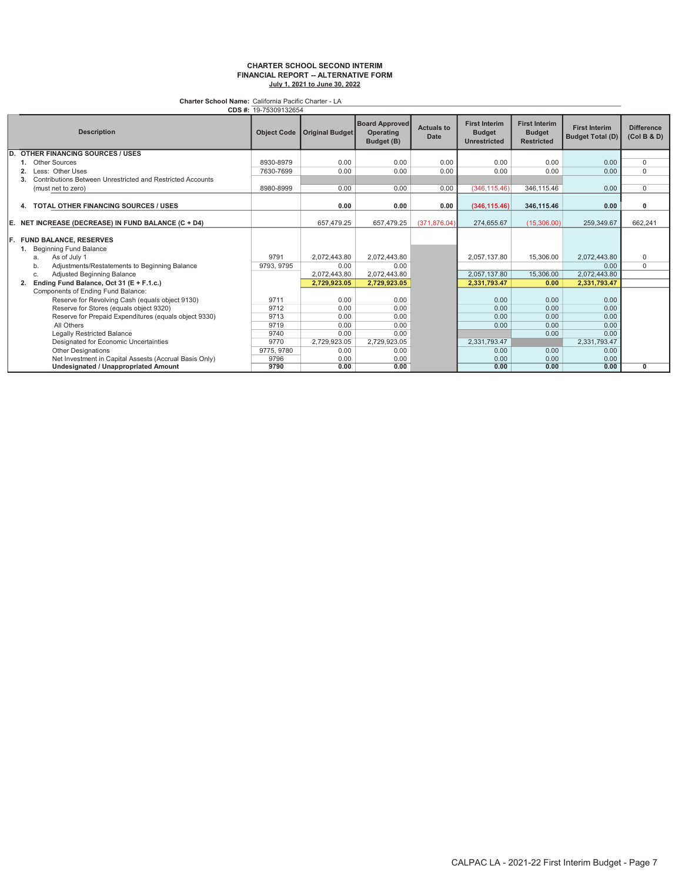#### CHARTER SCHOOL SECOND INTERIM FINANCIAL REPORT -- ALTERNATIVE FORM July 1, 2021 to June 30, 2022

Charter School Name: California Pacific Charter - LA

| CDS #: 19-75309132654                                         |                    |                        |                                                  |                           |                                                              |                                                            |                                                 |                                  |
|---------------------------------------------------------------|--------------------|------------------------|--------------------------------------------------|---------------------------|--------------------------------------------------------------|------------------------------------------------------------|-------------------------------------------------|----------------------------------|
| <b>Description</b>                                            | <b>Object Code</b> | <b>Original Budget</b> | <b>Board Approved</b><br>Operating<br>Budget (B) | <b>Actuals to</b><br>Date | <b>First Interim</b><br><b>Budget</b><br><b>Unrestricted</b> | <b>First Interim</b><br><b>Budget</b><br><b>Restricted</b> | <b>First Interim</b><br><b>Budget Total (D)</b> | <b>Difference</b><br>(Col B & D) |
| <b>OTHER FINANCING SOURCES / USES</b><br>D.                   |                    |                        |                                                  |                           |                                                              |                                                            |                                                 |                                  |
| Other Sources                                                 | 8930-8979          | 0.00                   | 0.00                                             | 0.00                      | 0.00                                                         | 0.00                                                       | 0.00                                            | 0                                |
| Less: Other Uses                                              | 7630-7699          | 0.00                   | 0.00                                             | 0.00                      | 0.00                                                         | 0.00                                                       | 0.00                                            | 0                                |
| Contributions Between Unrestricted and Restricted Accounts    |                    |                        |                                                  |                           |                                                              |                                                            |                                                 |                                  |
| (must net to zero)                                            | 8980-8999          | 0.00                   | 0.00                                             | 0.00                      | (346, 115.46)                                                | 346,115.46                                                 | 0.00                                            | 0                                |
| <b>TOTAL OTHER FINANCING SOURCES / USES</b><br>4.             |                    | 0.00                   | 0.00                                             | 0.00                      | (346, 115.46)                                                | 346,115.46                                                 | 0.00                                            | 0                                |
| E.<br>NET INCREASE (DECREASE) IN FUND BALANCE (C + D4)        |                    | 657.479.25             | 657,479.25                                       | (371.876.04)              | 274,655.67                                                   | (15,306.00)                                                | 259.349.67                                      | 662.241                          |
| F.<br><b>FUND BALANCE, RESERVES</b><br>Beginning Fund Balance |                    |                        |                                                  |                           |                                                              |                                                            |                                                 |                                  |
| As of July 1<br>a.                                            | 9791               | 2,072,443.80           | 2,072,443.80                                     |                           | 2,057,137.80                                                 | 15,306.00                                                  | 2,072,443.80                                    | 0                                |
| Adjustments/Restatements to Beginning Balance<br>b.           | 9793, 9795         | 0.00                   | 0.00                                             |                           |                                                              |                                                            | 0.00                                            | 0                                |
| Adjusted Beginning Balance<br>C.                              |                    | 2,072,443.80           | 2,072,443.80                                     |                           | 2,057,137.80                                                 | 15,306.00                                                  | 2,072,443.80                                    |                                  |
| Ending Fund Balance, Oct 31 (E + F.1.c.)                      |                    | 2,729,923.05           | 2,729,923.05                                     |                           | 2,331,793.47                                                 | 0.00                                                       | 2,331,793.47                                    |                                  |
| Components of Ending Fund Balance:                            |                    |                        |                                                  |                           |                                                              |                                                            |                                                 |                                  |
| Reserve for Revolving Cash (equals object 9130)               | 9711               | 0.00                   | 0.00                                             |                           | 0.00                                                         | 0.00                                                       | 0.00                                            |                                  |
| Reserve for Stores (equals object 9320)                       | 9712               | 0.00                   | 0.00                                             |                           | 0.00                                                         | 0.00                                                       | 0.00                                            |                                  |
| Reserve for Prepaid Expenditures (equals object 9330)         | 9713               | 0.00                   | 0.00                                             |                           | 0.00                                                         | 0.00                                                       | 0.00                                            |                                  |
| All Others                                                    | 9719               | 0.00                   | 0.00                                             |                           | 0.00                                                         | 0.00                                                       | 0.00                                            |                                  |
| Legally Restricted Balance                                    | 9740               | 0.00                   | 0.00                                             |                           |                                                              | 0.00                                                       | 0.00                                            |                                  |
| Designated for Economic Uncertainties                         | 9770               | 2,729,923.05           | 2,729,923.05                                     |                           | 2,331,793.47                                                 |                                                            | 2,331,793.47                                    |                                  |
| <b>Other Designations</b>                                     | 9775, 9780         | 0.00                   | 0.00                                             |                           | 0.00                                                         | 0.00                                                       | 0.00                                            |                                  |
| Net Investment in Capital Assests (Accrual Basis Only)        | 9796               | 0.00                   | 0.00                                             |                           | 0.00                                                         | 0.00                                                       | 0.00                                            |                                  |
| Undesignated / Unappropriated Amount                          | 9790               | 0.00                   | 0.00                                             |                           | 0.00                                                         | 0.00                                                       | 0.00                                            | 0                                |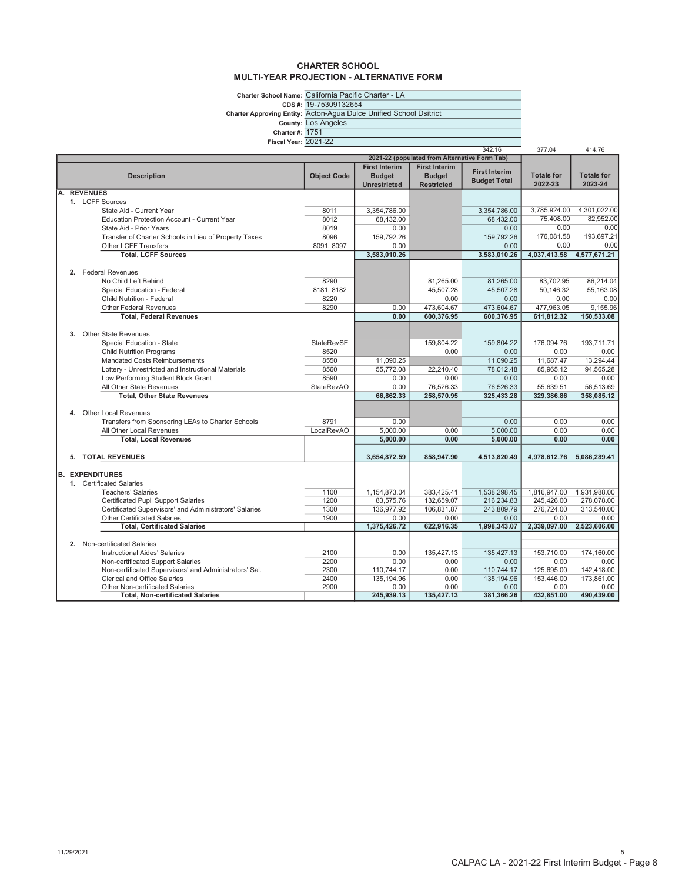#### CHARTER SCHOOL MULTI-YEAR PROJECTION - ALTERNATIVE FORM

Charter School Name: CDS #: California Pacific Charter - LA 19-75309132654

Charter Approving Entity: Acton-Agua Dulce Unified School Dsitrict

County: Los Angeles

Charter #: 1751

Fiscal Year: 2021-22

| rıscal feal: ∠∪∠ i∹∠∠ |                                                                                               |                    |                      |                                               | 342.16               | 377.04             | 414.76             |
|-----------------------|-----------------------------------------------------------------------------------------------|--------------------|----------------------|-----------------------------------------------|----------------------|--------------------|--------------------|
|                       |                                                                                               |                    |                      | 2021-22 (populated from Alternative Form Tab) |                      |                    |                    |
|                       |                                                                                               |                    | <b>First Interim</b> | <b>First Interim</b>                          | <b>First Interim</b> |                    |                    |
|                       | <b>Description</b>                                                                            | <b>Object Code</b> | <b>Budget</b>        | <b>Budget</b>                                 | <b>Budget Total</b>  | <b>Totals for</b>  | <b>Totals for</b>  |
|                       |                                                                                               |                    | <b>Unrestricted</b>  | <b>Restricted</b>                             |                      | 2022-23            | 2023-24            |
| A.                    | <b>REVENUES</b>                                                                               |                    |                      |                                               |                      |                    |                    |
|                       | 1. LCFF Sources                                                                               |                    |                      |                                               |                      |                    |                    |
|                       | State Aid - Current Year                                                                      | 8011               | 3.354.786.00         |                                               | 3.354.786.00         | 3,785,924.00       | 4,301,022.00       |
|                       | Education Protection Account - Current Year                                                   | 8012               | 68,432.00            |                                               | 68,432.00            | 75,408.00          | 82,952.00          |
|                       | State Aid - Prior Years                                                                       | 8019               | 0.00                 |                                               | 0.00                 | 0.00               | 0.00               |
|                       | Transfer of Charter Schools in Lieu of Property Taxes                                         | 8096               | 159,792.26           |                                               | 159,792.26           | 176,081.58         | 193,697.21         |
|                       | Other LCFF Transfers                                                                          | 8091, 8097         | 0.00                 |                                               | 0.00                 | 0.00               | 0.00               |
|                       | <b>Total, LCFF Sources</b>                                                                    |                    | 3.583.010.26         |                                               | 3,583,010.26         | 4,037,413.58       | 4,577,671.21       |
|                       |                                                                                               |                    |                      |                                               |                      |                    |                    |
|                       | 2. Federal Revenues                                                                           |                    |                      |                                               |                      |                    |                    |
|                       | No Child Left Behind                                                                          | 8290               |                      | 81,265.00                                     | 81,265.00            | 83,702.95          | 86,214.04          |
|                       | Special Education - Federal                                                                   | 8181, 8182         |                      | 45,507.28                                     | 45,507.28            | 50,146.32          | 55,163.08          |
|                       | Child Nutrition - Federal                                                                     | 8220               |                      | 0.00                                          | 0.00                 | 0.00               | 0.00               |
|                       | <b>Other Federal Revenues</b>                                                                 | 8290               | 0.00                 | 473,604.67                                    | 473,604.67           | 477,963.05         | 9,155.96           |
|                       | <b>Total, Federal Revenues</b>                                                                |                    | 0.00                 | 600.376.95                                    | 600.376.95           | 611.812.32         | 150.533.08         |
|                       |                                                                                               |                    |                      |                                               |                      |                    |                    |
|                       | 3. Other State Revenues                                                                       |                    |                      |                                               |                      |                    |                    |
|                       | Special Education - State                                                                     | StateRevSE         |                      | 159.804.22                                    | 159.804.22           | 176.094.76         | 193.711.71         |
|                       | <b>Child Nutrition Programs</b>                                                               | 8520               |                      | 0.00                                          | 0.00                 | 0.00               | 0.00               |
|                       | Mandated Costs Reimbursements                                                                 | 8550               | 11,090.25            |                                               | 11,090.25            | 11,687.47          | 13,294.44          |
|                       | Lottery - Unrestricted and Instructional Materials                                            | 8560               | 55,772.08            | 22,240.40                                     | 78,012.48            | 85,965.12          | 94,565.28          |
|                       | Low Performing Student Block Grant                                                            | 8590               | 0.00                 | 0.00                                          | 0.00                 | 0.00               | 0.00               |
|                       | All Other State Revenues                                                                      | <b>StateRevAO</b>  | 0.00                 | 76,526.33                                     | 76,526.33            | 55,639.51          | 56.513.69          |
|                       | <b>Total, Other State Revenues</b>                                                            |                    | 66.862.33            | 258.570.95                                    | 325.433.28           | 329.386.86         | 358.085.12         |
|                       |                                                                                               |                    |                      |                                               |                      |                    |                    |
|                       | <b>Other Local Revenues</b><br>4.                                                             |                    |                      |                                               |                      |                    |                    |
|                       | Transfers from Sponsoring LEAs to Charter Schools                                             | 8791               | 0.00                 |                                               | 0.00                 | 0.00               | 0.00               |
|                       | All Other Local Revenues                                                                      | LocalRevAO         | 5.000.00             | 0.00                                          | 5.000.00             | 0.00               | 0.00               |
|                       | <b>Total, Local Revenues</b>                                                                  |                    | 5.000.00             | 0.00                                          | 5.000.00             | 0.00               | 0.00               |
|                       |                                                                                               |                    |                      |                                               |                      |                    |                    |
|                       | 5. TOTAL REVENUES                                                                             |                    | 3,654,872.59         | 858,947.90                                    | 4,513,820.49         | 4,978,612.76       | 5,086,289.41       |
|                       |                                                                                               |                    |                      |                                               |                      |                    |                    |
|                       | <b>B. EXPENDITURES</b>                                                                        |                    |                      |                                               |                      |                    |                    |
|                       | 1. Certificated Salaries                                                                      |                    |                      |                                               |                      |                    |                    |
|                       | <b>Teachers' Salaries</b>                                                                     | 1100               | 1,154,873.04         | 383.425.41                                    | 1,538,298.45         | 1,816,947.00       | 1,931,988.00       |
|                       | <b>Certificated Pupil Support Salaries</b>                                                    | 1200               | 83,575.76            | 132,659.07                                    | 216,234.83           | 245,426.00         | 278,078.00         |
|                       | Certificated Supervisors' and Administrators' Salaries                                        | 1300               | 136,977.92           | 106,831.87                                    | 243,809.79           | 276,724.00         | 313.540.00         |
|                       | <b>Other Certificated Salaries</b>                                                            | 1900               | 0.00                 | 0.00                                          | 0.00                 | 0.00               | 0.00               |
|                       | <b>Total, Certificated Salaries</b>                                                           |                    | 1,375,426.72         | 622,916.35                                    | 1,998,343.07         | 2,339,097.00       | 2,523,606.00       |
|                       |                                                                                               |                    |                      |                                               |                      |                    |                    |
|                       | 2. Non-certificated Salaries                                                                  |                    |                      |                                               |                      |                    |                    |
|                       | <b>Instructional Aides' Salaries</b>                                                          | 2100               | 0.00                 | 135,427.13                                    | 135.427.13           | 153.710.00         | 174.160.00         |
|                       | Non-certificated Support Salaries                                                             | 2200               | 0.00                 | 0.00                                          | 0.00                 | 0.00               | 0.00               |
|                       | Non-certificated Supervisors' and Administrators' Sal.<br><b>Clerical and Office Salaries</b> | 2300               | 110,744.17           | 0.00                                          | 110,744.17           | 125,695.00         | 142,418.00         |
|                       |                                                                                               | 2400               | 135,194.96           | 0.00<br>0.00                                  | 135, 194.96          | 153,446.00<br>0.00 | 173,861.00         |
|                       | Other Non-certificated Salaries                                                               | 2900               | 0.00<br>245.939.13   | 135,427.13                                    | 0.00<br>381,366.26   | 432,851.00         | 0.00<br>490,439.00 |
|                       | <b>Total, Non-certificated Salaries</b>                                                       |                    |                      |                                               |                      |                    |                    |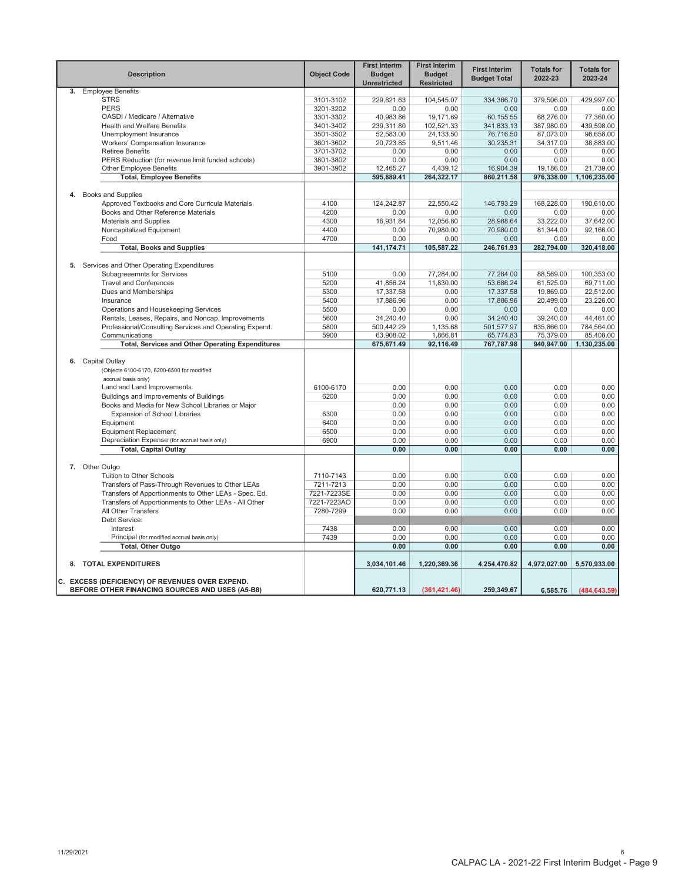|    | <b>Description</b>                                      | <b>Object Code</b> | <b>First Interim</b><br><b>Budget</b><br><b>Unrestricted</b> | <b>First Interim</b><br><b>Budget</b><br><b>Restricted</b> | <b>First Interim</b><br><b>Budget Total</b> | <b>Totals for</b><br>2022-23 | <b>Totals for</b><br>2023-24 |
|----|---------------------------------------------------------|--------------------|--------------------------------------------------------------|------------------------------------------------------------|---------------------------------------------|------------------------------|------------------------------|
| 3. | <b>Employee Benefits</b>                                |                    |                                                              |                                                            |                                             |                              |                              |
|    | <b>STRS</b>                                             | 3101-3102          | 229.821.63                                                   | 104,545.07                                                 | 334.366.70                                  | 379.506.00                   | 429.997.00                   |
|    | <b>PERS</b>                                             | 3201-3202          | 0.00                                                         | 0.00                                                       | 0.00                                        | 0.00                         | 0.00                         |
|    | OASDI / Medicare / Alternative                          | 3301-3302          | 40,983.86                                                    | 19,171.69                                                  | 60,155.55                                   | 68,276.00                    | 77,360.00                    |
|    | <b>Health and Welfare Benefits</b>                      | 3401-3402          | 239,311.80                                                   | 102,521.33                                                 | 341,833.13                                  | 387,980.00                   | 439,598.00                   |
|    | Unemployment Insurance                                  | 3501-3502          | 52,583.00                                                    | 24,133.50                                                  | 76,716.50                                   | 87,073.00                    | 98.658.00                    |
|    | Workers' Compensation Insurance                         | 3601-3602          | 20,723.85                                                    | 9,511.46                                                   | 30,235.31                                   | 34,317.00                    | 38,883.00                    |
|    | <b>Retiree Benefits</b>                                 | 3701-3702          | 0.00                                                         | 0.00                                                       | 0.00                                        | 0.00                         | 0.00                         |
|    | PERS Reduction (for revenue limit funded schools)       | 3801-3802          | 0.00                                                         | 0.00                                                       | 0.00                                        | 0.00                         | 0.00                         |
|    | <b>Other Employee Benefits</b>                          | 3901-3902          | 12,465.27                                                    | 4,439.12                                                   | 16,904.39                                   | 19,186.00                    | 21,739.00                    |
|    | <b>Total, Employee Benefits</b>                         |                    | 595,889.41                                                   | 264,322.17                                                 | 860,211.58                                  | 976,338.00                   | 1,106,235.00                 |
|    |                                                         |                    |                                                              |                                                            |                                             |                              |                              |
|    | 4. Books and Supplies                                   |                    |                                                              |                                                            |                                             |                              |                              |
|    | Approved Textbooks and Core Curricula Materials         | 4100               | 124,242.87                                                   | 22,550.42                                                  | 146,793.29                                  | 168,228.00                   | 190,610.00                   |
|    | Books and Other Reference Materials                     | 4200               | 0.00                                                         | 0.00                                                       | 0.00                                        | 0.00                         | 0.00                         |
|    | <b>Materials and Supplies</b>                           | 4300               | 16,931.84                                                    | 12,056.80                                                  | 28,988.64                                   | 33,222.00                    | 37,642.00                    |
|    | Noncapitalized Equipment                                | 4400               | 0.00                                                         | 70,980.00                                                  | 70.980.00                                   | 81,344.00                    | 92.166.00                    |
|    |                                                         |                    |                                                              |                                                            |                                             |                              |                              |
|    | Food                                                    | 4700               | 0.00                                                         | 0.00                                                       | 0.00                                        | 0.00                         | 0.00                         |
|    | <b>Total, Books and Supplies</b>                        |                    | 141,174.71                                                   | 105,587.22                                                 | 246,761.93                                  | 282,794.00                   | 320,418.00                   |
|    |                                                         |                    |                                                              |                                                            |                                             |                              |                              |
|    | 5. Services and Other Operating Expenditures            |                    |                                                              |                                                            |                                             |                              |                              |
|    | Subagreeemnts for Services                              | 5100               | 0.00                                                         | 77,284.00                                                  | 77,284.00                                   | 88,569.00                    | 100,353.00                   |
|    | <b>Travel and Conferences</b>                           | 5200               | 41,856.24                                                    | 11,830.00                                                  | 53,686.24                                   | 61,525.00                    | 69,711.00                    |
|    | Dues and Memberships                                    | 5300               | 17,337.58                                                    | 0.00                                                       | 17,337.58                                   | 19,869.00                    | 22,512.00                    |
|    | Insurance                                               | 5400               | 17,886.96                                                    | 0.00                                                       | 17,886.96                                   | 20,499.00                    | 23,226.00                    |
|    | Operations and Housekeeping Services                    | 5500               | 0.00                                                         | 0.00                                                       | 0.00                                        | 0.00                         | 0.00                         |
|    | Rentals, Leases, Repairs, and Noncap. Improvements      | 5600               | 34,240.40                                                    | 0.00                                                       | 34,240.40                                   | 39,240.00                    | 44.461.00                    |
|    | Professional/Consulting Services and Operating Expend.  | 5800               | 500,442.29                                                   | 1,135.68                                                   | 501,577.97                                  | 635,866.00                   | 784,564.00                   |
|    | Communications                                          | 5900               | 63,908.02                                                    | 1,866.81                                                   | 65,774.83                                   | 75,379.00                    | 85,408.00                    |
|    | <b>Total, Services and Other Operating Expenditures</b> |                    | 675,671.49                                                   | 92,116.49                                                  | 767,787.98                                  | 940,947.00                   | 1,130,235.00                 |
|    |                                                         |                    |                                                              |                                                            |                                             |                              |                              |
| 6. | Capital Outlay                                          |                    |                                                              |                                                            |                                             |                              |                              |
|    | (Objects 6100-6170, 6200-6500 for modified              |                    |                                                              |                                                            |                                             |                              |                              |
|    | accrual basis only)                                     |                    |                                                              |                                                            |                                             |                              |                              |
|    | Land and Land Improvements                              | 6100-6170          | 0.00                                                         | 0.00                                                       | 0.00                                        | 0.00                         | 0.00                         |
|    | Buildings and Improvements of Buildings                 | 6200               | 0.00                                                         | 0.00                                                       | 0.00                                        | 0.00                         | 0.00                         |
|    | Books and Media for New School Libraries or Major       |                    | 0.00                                                         | 0.00                                                       | 0.00                                        | 0.00                         | 0.00                         |
|    |                                                         | 6300               | 0.00                                                         | 0.00                                                       | 0.00                                        | 0.00                         | 0.00                         |
|    | <b>Expansion of School Libraries</b>                    |                    |                                                              |                                                            |                                             |                              |                              |
|    | Equipment                                               | 6400               | 0.00                                                         | 0.00                                                       | 0.00                                        | 0.00                         | 0.00                         |
|    | <b>Equipment Replacement</b>                            | 6500               | 0.00                                                         | 0.00                                                       | 0.00                                        | 0.00                         | 0.00                         |
|    | Depreciation Expense (for accrual basis only)           | 6900               | 0.00                                                         | 0.00                                                       | 0.00                                        | 0.00                         | 0.00                         |
|    | <b>Total, Capital Outlay</b>                            |                    | 0.00                                                         | 0.00                                                       | 0.00                                        | 0.00                         | 0.00                         |
|    |                                                         |                    |                                                              |                                                            |                                             |                              |                              |
|    | 7. Other Outgo                                          |                    |                                                              |                                                            |                                             |                              |                              |
|    | Tuition to Other Schools                                | 7110-7143          | 0.00                                                         | 0.00                                                       | 0.00                                        | 0.00                         | 0.00                         |
|    | Transfers of Pass-Through Revenues to Other LEAs        | 7211-7213          | 0.00                                                         | 0.00                                                       | 0.00                                        | 0.00                         | 0.00                         |
|    | Transfers of Apportionments to Other LEAs - Spec. Ed.   | 7221-7223SE        | 0.00                                                         | 0.00                                                       | 0.00                                        | 0.00                         | 0.00                         |
|    | Transfers of Apportionments to Other LEAs - All Other   | 7221-7223AO        | 0.00                                                         | 0.00                                                       | 0.00                                        | 0.00                         | 0.00                         |
|    | All Other Transfers                                     | 7280-7299          | 0.00                                                         | 0.00                                                       | 0.00                                        | 0.00                         | 0.00                         |
|    | Debt Service:                                           |                    |                                                              |                                                            |                                             |                              |                              |
|    | Interest                                                | 7438               | 0.00                                                         | 0.00                                                       | 0.00                                        | 0.00                         | 0.00                         |
|    | Principal (for modified accrual basis only)             | 7439               | 0.00                                                         | 0.00                                                       | 0.00                                        | 0.00                         | 0.00                         |
|    | <b>Total, Other Outgo</b>                               |                    | 0.00                                                         | 0.00                                                       | 0.00                                        | 0.00                         | 0.00                         |
|    |                                                         |                    |                                                              |                                                            |                                             |                              |                              |
|    | 8. TOTAL EXPENDITURES                                   |                    | 3,034,101.46                                                 | 1,220,369.36                                               | 4,254,470.82                                | 4,972,027.00                 | 5,570,933.00                 |
|    |                                                         |                    |                                                              |                                                            |                                             |                              |                              |
|    | C. EXCESS (DEFICIENCY) OF REVENUES OVER EXPEND.         |                    |                                                              |                                                            |                                             |                              |                              |
|    | BEFORE OTHER FINANCING SOURCES AND USES (A5-B8)         |                    | 620,771.13                                                   | (361, 421.46)                                              | 259,349.67                                  | 6,585.76                     | (484, 643.59)                |
|    |                                                         |                    |                                                              |                                                            |                                             |                              |                              |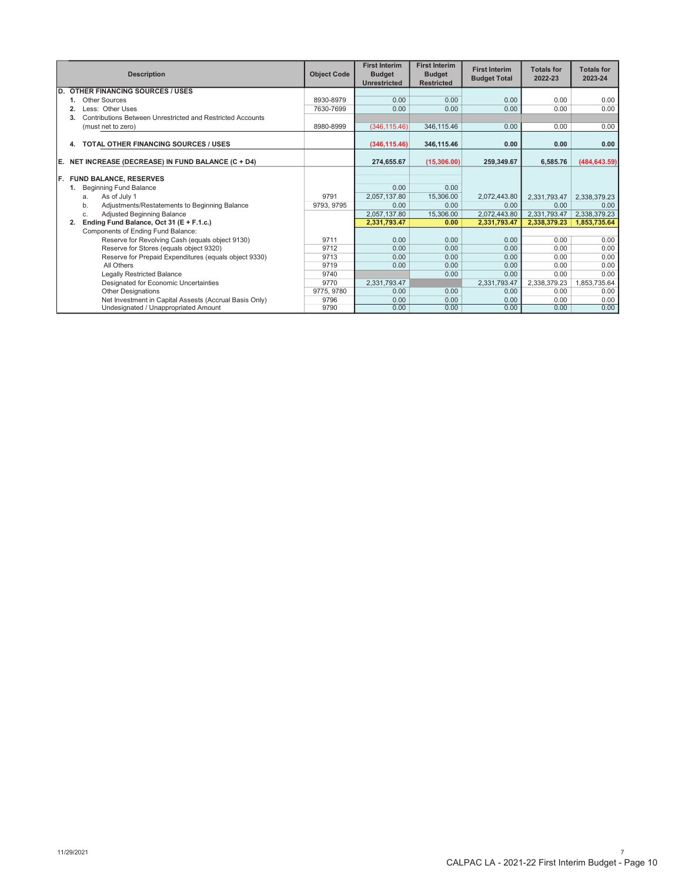|                                       | <b>Description</b>                                               | <b>Object Code</b> | <b>First Interim</b><br><b>Budget</b><br><b>Unrestricted</b> | <b>First Interim</b><br><b>Budget</b><br><b>Restricted</b> | <b>First Interim</b><br><b>Budget Total</b> | <b>Totals for</b><br>2022-23 | <b>Totals for</b><br>2023-24 |
|---------------------------------------|------------------------------------------------------------------|--------------------|--------------------------------------------------------------|------------------------------------------------------------|---------------------------------------------|------------------------------|------------------------------|
| ID.                                   | <b>OTHER FINANCING SOURCES / USES</b>                            |                    |                                                              |                                                            |                                             |                              |                              |
|                                       | Other Sources                                                    | 8930-8979          | 0.00                                                         | 0.00                                                       | 0.00                                        | 0.00                         | 0.00                         |
|                                       | Less: Other Uses                                                 | 7630-7699          | 0.00                                                         | 0.00                                                       | 0.00                                        | 0.00                         | 0.00                         |
|                                       | Contributions Between Unrestricted and Restricted Accounts<br>3. |                    |                                                              |                                                            |                                             |                              |                              |
|                                       | (must net to zero)                                               | 8980-8999          | (346, 115.46)                                                | 346,115.46                                                 | 0.00                                        | 0.00                         | 0.00                         |
|                                       | <b>TOTAL OTHER FINANCING SOURCES / USES</b><br>4.                |                    | (346, 115.46)                                                | 346,115.46                                                 | 0.00                                        | 0.00                         | 0.00                         |
| IE.                                   | NET INCREASE (DECREASE) IN FUND BALANCE (C + D4)                 |                    | 274,655.67                                                   | (15,306.00)                                                | 259,349.67                                  | 6,585.76                     | (484, 643.59)                |
| IF.                                   | <b>FUND BALANCE, RESERVES</b>                                    |                    |                                                              |                                                            |                                             |                              |                              |
|                                       | <b>Beginning Fund Balance</b>                                    |                    | 0.00                                                         | 0.00                                                       |                                             |                              |                              |
|                                       | As of July 1<br>a.                                               | 9791               | 2,057,137.80                                                 | 15,306.00                                                  | 2,072,443.80                                | 2,331,793.47                 | 2,338,379.23                 |
|                                       | Adjustments/Restatements to Beginning Balance<br>b.              | 9793, 9795         | 0.00                                                         | 0.00                                                       | 0.00                                        | 0.00                         | 0.00                         |
|                                       | Adjusted Beginning Balance<br>C.                                 |                    | 2.057.137.80                                                 | 15,306,00                                                  | 2,072,443.80                                | 2.331.793.47                 | 2,338,379.23                 |
|                                       | Ending Fund Balance, Oct 31 (E + F.1.c.)<br>2.                   |                    | 2,331,793.47                                                 | 0.00                                                       | 2,331,793.47                                | 2,338,379.23                 | 1,853,735.64                 |
|                                       | Components of Ending Fund Balance:                               |                    |                                                              |                                                            |                                             |                              |                              |
|                                       | Reserve for Revolving Cash (equals object 9130)                  | 9711               | 0.00                                                         | 0.00                                                       | 0.00                                        | 0.00                         | 0.00                         |
|                                       | Reserve for Stores (equals object 9320)                          | 9712               | 0.00                                                         | 0.00                                                       | 0.00                                        | 0.00                         | 0.00                         |
|                                       | Reserve for Prepaid Expenditures (equals object 9330)            | 9713               | 0.00                                                         | 0.00                                                       | 0.00                                        | 0.00                         | 0.00                         |
|                                       | All Others                                                       | 9719               | 0.00                                                         | 0.00                                                       | 0.00                                        | 0.00                         | 0.00                         |
|                                       | <b>Legally Restricted Balance</b>                                | 9740               |                                                              | 0.00                                                       | 0.00                                        | 0.00                         | 0.00                         |
| Designated for Economic Uncertainties |                                                                  | 9770               | 2,331,793.47                                                 |                                                            | 2,331,793.47                                | 2,338,379.23                 | 1,853,735.64                 |
|                                       | <b>Other Designations</b>                                        | 9775, 9780         | 0.00                                                         | 0.00                                                       | 0.00                                        | 0.00                         | 0.00                         |
|                                       | Net Investment in Capital Assests (Accrual Basis Only)           | 9796               | 0.00                                                         | 0.00                                                       | 0.00                                        | 0.00                         | 0.00                         |
|                                       | Undesignated / Unappropriated Amount                             | 9790               | 0.00                                                         | 0.00                                                       | 0.00                                        | 0.00                         | 0.00                         |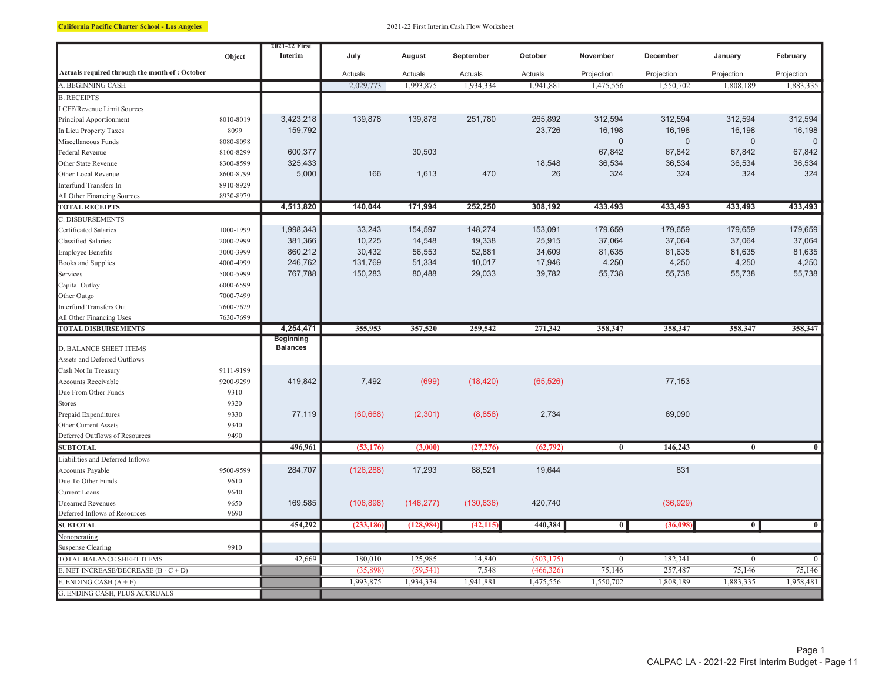California Pacific Charter School - Los Angeles 2021-22 First Interim Cash Flow Worksheet

|                                                        | Object    | 2021-22 First<br>Interim            | July       | August     | September  | October    | November                | December    | January        | February       |
|--------------------------------------------------------|-----------|-------------------------------------|------------|------------|------------|------------|-------------------------|-------------|----------------|----------------|
| Actuals required through the month of: October         |           |                                     | Actuals    | Actuals    | Actuals    | Actuals    | Projection              | Projection  | Projection     | Projection     |
| A. BEGINNING CASH                                      |           |                                     | 2,029,773  | 1,993,875  | 1,934,334  | 1,941,881  | 1,475,556               | 1,550,702   | 1,808,189      | 1,883,335      |
| <b>B. RECEIPTS</b>                                     |           |                                     |            |            |            |            |                         |             |                |                |
| LCFF/Revenue Limit Sources                             |           |                                     |            |            |            |            |                         |             |                |                |
| Principal Apportionment                                | 8010-8019 | 3,423,218                           | 139,878    | 139,878    | 251,780    | 265,892    | 312,594                 | 312,594     | 312,594        | 312,594        |
| In Lieu Property Taxes                                 | 8099      | 159,792                             |            |            |            | 23,726     | 16,198                  | 16,198      | 16,198         | 16,198         |
| Miscellaneous Funds                                    | 8080-8098 |                                     |            |            |            |            | $\pmb{0}$               | $\mathbf 0$ | $\mathbf 0$    | $\mathbf{0}$   |
| Federal Revenue                                        | 8100-8299 | 600,377                             |            | 30,503     |            |            | 67,842                  | 67,842      | 67,842         | 67,842         |
| Other State Revenue                                    | 8300-8599 | 325,433                             |            |            |            | 18,548     | 36,534                  | 36,534      | 36,534         | 36,534         |
| Other Local Revenue                                    | 8600-8799 | 5,000                               | 166        | 1,613      | 470        | 26         | 324                     | 324         | 324            | 324            |
| Interfund Transfers In                                 | 8910-8929 |                                     |            |            |            |            |                         |             |                |                |
| All Other Financing Sources                            | 8930-8979 |                                     |            |            |            |            |                         |             |                |                |
| <b>TOTAL RECEIPTS</b>                                  |           | 4,513,820                           | 140,044    | 171,994    | 252,250    | 308,192    | 433,493                 | 433,493     | 433,493        | 433,493        |
| C. DISBURSEMENTS                                       |           |                                     |            |            |            |            |                         |             |                |                |
| Certificated Salaries                                  | 1000-1999 | 1,998,343                           | 33,243     | 154,597    | 148,274    | 153,091    | 179,659                 | 179,659     | 179,659        | 179,659        |
| Classified Salaries                                    | 2000-2999 | 381,366                             | 10,225     | 14,548     | 19,338     | 25,915     | 37,064                  | 37,064      | 37,064         | 37,064         |
| <b>Employee Benefits</b>                               | 3000-3999 | 860,212                             | 30,432     | 56,553     | 52,881     | 34,609     | 81,635                  | 81,635      | 81,635         | 81,635         |
| <b>Books and Supplies</b>                              | 4000-4999 | 246,762                             | 131,769    | 51,334     | 10,017     | 17,946     | 4,250                   | 4,250       | 4,250          | 4,250          |
| Services                                               | 5000-5999 | 767,788                             | 150,283    | 80,488     | 29,033     | 39,782     | 55,738                  | 55,738      | 55,738         | 55,738         |
| Capital Outlay                                         | 6000-6599 |                                     |            |            |            |            |                         |             |                |                |
| Other Outgo                                            | 7000-7499 |                                     |            |            |            |            |                         |             |                |                |
| Interfund Transfers Out                                | 7600-7629 |                                     |            |            |            |            |                         |             |                |                |
| All Other Financing Uses                               | 7630-7699 |                                     |            |            |            |            |                         |             |                |                |
| <b>TOTAL DISBURSEMENTS</b>                             |           | 4,254,471                           | 355,953    | 357,520    | 259,542    | 271,342    | 358,347                 | 358,347     | 358,347        | 358,347        |
|                                                        |           | <b>Beginning</b><br><b>Balances</b> |            |            |            |            |                         |             |                |                |
| D. BALANCE SHEET ITEMS<br>Assets and Deferred Outflows |           |                                     |            |            |            |            |                         |             |                |                |
| Cash Not In Treasury                                   | 9111-9199 |                                     |            |            |            |            |                         |             |                |                |
| Accounts Receivable                                    | 9200-9299 | 419,842                             | 7,492      | (699)      | (18, 420)  | (65, 526)  |                         | 77,153      |                |                |
| Due From Other Funds                                   | 9310      |                                     |            |            |            |            |                         |             |                |                |
| <b>Stores</b>                                          | 9320      |                                     |            |            |            |            |                         |             |                |                |
| Prepaid Expenditures                                   | 9330      | 77,119                              | (60, 668)  | (2,301)    | (8, 856)   | 2,734      |                         | 69,090      |                |                |
| Other Current Assets                                   | 9340      |                                     |            |            |            |            |                         |             |                |                |
| Deferred Outflows of Resources                         | 9490      |                                     |            |            |            |            |                         |             |                |                |
| <b>SUBTOTAL</b>                                        |           | 496,961                             | (53, 176)  | (3,000)    | (27, 276)  | (62, 792)  | $\overline{\mathbf{0}}$ | 146,243     | $\overline{0}$ | $\overline{0}$ |
| Liabilities and Deferred Inflows                       |           |                                     |            |            |            |            |                         |             |                |                |
| Accounts Payable                                       | 9500-9599 | 284,707                             | (126, 288) | 17,293     | 88,521     | 19,644     |                         | 831         |                |                |
| Due To Other Funds                                     | 9610      |                                     |            |            |            |            |                         |             |                |                |
| Current Loans                                          | 9640      |                                     |            |            |            |            |                         |             |                |                |
| <b>Unearned Revenues</b>                               | 9650      | 169,585                             | (106, 898) | (146, 277) | (130, 636) | 420,740    |                         | (36, 929)   |                |                |
| Deferred Inflows of Resources                          | 9690      |                                     |            |            |            |            |                         |             |                |                |
| <b>SUBTOTAL</b>                                        |           | 454,292                             | (233, 186) | (128, 984) | (42, 115)  | 440,384    | $\overline{0}$          | (36,098)    | $\overline{0}$ | $\bf{0}$       |
| Nonoperating                                           |           |                                     |            |            |            |            |                         |             |                |                |
| <b>Suspense Clearing</b>                               | 9910      |                                     |            |            |            |            |                         |             |                |                |
| TOTAL BALANCE SHEET ITEMS                              |           | 42,669                              | 180,010    | 125,985    | 14,840     | (503, 175) | $\boldsymbol{0}$        | 182,341     | $\overline{0}$ | $\overline{0}$ |
| $E$ . NET INCREASE/DECREASE (B - C + D)                |           |                                     | (35,898)   | (59, 541)  | 7,548      | (466, 326) | 75,146                  | 257,487     | 75,146         | 75,146         |
| $E$ . ENDING CASH $(A + E)$                            |           |                                     | 1,993,875  | 1,934,334  | 1,941,881  | 1,475,556  | 1,550,702               | 1,808,189   | 1,883,335      | 1,958,481      |
| G. ENDING CASH, PLUS ACCRUALS                          |           |                                     |            |            |            |            |                         |             |                |                |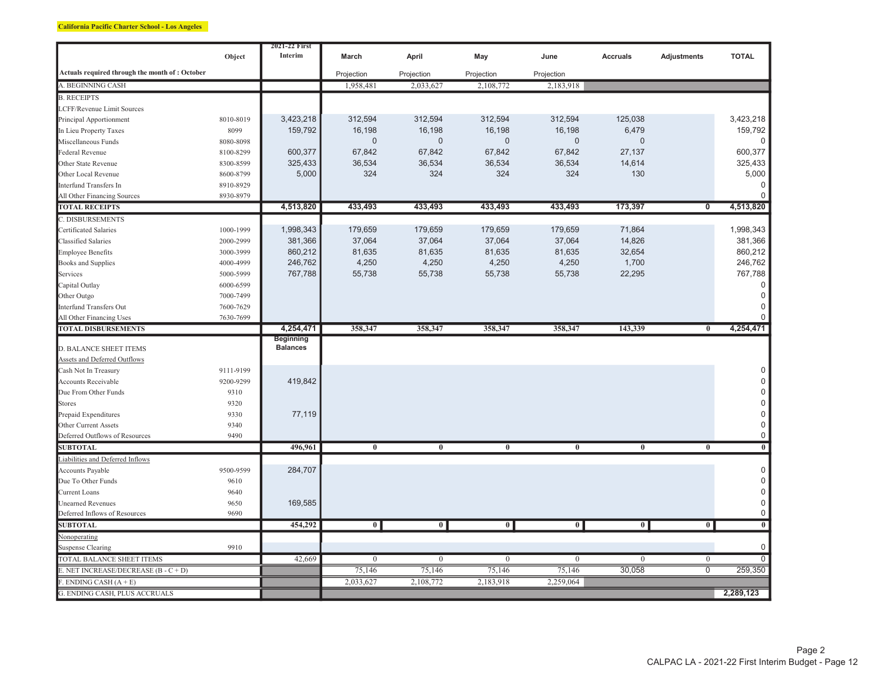#### California Pacific Charter School - Los Angeles

|                                                |           | 2021-22 First   |                         |                |                  |                |                         |                         |                  |
|------------------------------------------------|-----------|-----------------|-------------------------|----------------|------------------|----------------|-------------------------|-------------------------|------------------|
|                                                | Object    | Interim         | March                   | April          | May              | June           | <b>Accruals</b>         | Adjustments             | <b>TOTAL</b>     |
| Actuals required through the month of: October |           |                 | Projection              | Projection     | Projection       | Projection     |                         |                         |                  |
| A. BEGINNING CASH                              |           |                 | 1,958,481               | 2,033,627      | 2,108,772        | 2,183,918      |                         |                         |                  |
| <b>B. RECEIPTS</b>                             |           |                 |                         |                |                  |                |                         |                         |                  |
| LCFF/Revenue Limit Sources                     |           |                 |                         |                |                  |                |                         |                         |                  |
| Principal Apportionment                        | 8010-8019 | 3,423,218       | 312,594                 | 312,594        | 312,594          | 312,594        | 125,038                 |                         | 3,423,218        |
| In Lieu Property Taxes                         | 8099      | 159,792         | 16,198                  | 16,198         | 16,198           | 16,198         | 6,479                   |                         | 159,792          |
| Miscellaneous Funds                            | 8080-8098 |                 | $\mathbf 0$             | $\mathbf{0}$   | $\mathbf 0$      | $\mathbf 0$    | $\Omega$                |                         |                  |
| <b>Federal Revenue</b>                         | 8100-8299 | 600,377         | 67,842                  | 67,842         | 67,842           | 67,842         | 27,137                  |                         | 600,377          |
| Other State Revenue                            | 8300-8599 | 325,433         | 36,534                  | 36,534         | 36,534           | 36,534         | 14,614                  |                         | 325,433          |
| Other Local Revenue                            | 8600-8799 | 5,000           | 324                     | 324            | 324              | 324            | 130                     |                         | 5,000            |
| Interfund Transfers In                         | 8910-8929 |                 |                         |                |                  |                |                         |                         |                  |
| All Other Financing Sources                    | 8930-8979 |                 |                         |                |                  |                |                         |                         | $\Omega$         |
| <b>TOTAL RECEIPTS</b>                          |           | 4,513,820       | 433,493                 | 433,493        | 433,493          | 433,493        | 173,397                 | $\overline{\mathbf{0}}$ | 4,513,820        |
| C. DISBURSEMENTS                               |           |                 |                         |                |                  |                |                         |                         |                  |
| Certificated Salaries                          | 1000-1999 | 1,998,343       | 179,659                 | 179,659        | 179,659          | 179,659        | 71,864                  |                         | 1,998,343        |
| Classified Salaries                            | 2000-2999 | 381,366         | 37,064                  | 37,064         | 37,064           | 37,064         | 14,826                  |                         | 381,366          |
| Employee Benefits                              | 3000-3999 | 860,212         | 81,635                  | 81,635         | 81,635           | 81,635         | 32,654                  |                         | 860,212          |
| <b>Books and Supplies</b>                      | 4000-4999 | 246,762         | 4,250                   | 4,250          | 4,250            | 4,250          | 1,700                   |                         | 246,762          |
| Services                                       | 5000-5999 | 767,788         | 55,738                  | 55,738         | 55,738           | 55,738         | 22,295                  |                         | 767,788          |
| Capital Outlay                                 | 6000-6599 |                 |                         |                |                  |                |                         |                         | $\Omega$         |
| Other Outgo                                    | 7000-7499 |                 |                         |                |                  |                |                         |                         | $\mathbf 0$      |
| <b>Interfund Transfers Out</b>                 | 7600-7629 |                 |                         |                |                  |                |                         |                         | 0                |
| All Other Financing Uses                       | 7630-7699 |                 |                         |                |                  |                |                         |                         |                  |
| <b>TOTAL DISBURSEMENTS</b>                     |           | 4,254,471       | 358,347                 | 358,347        | 358,347          | 358,347        | 143,339                 | $\bf{0}$                | 4,254,471        |
|                                                |           | Beginning       |                         |                |                  |                |                         |                         |                  |
| <b>D. BALANCE SHEET ITEMS</b>                  |           | <b>Balances</b> |                         |                |                  |                |                         |                         |                  |
| Assets and Deferred Outflows                   |           |                 |                         |                |                  |                |                         |                         |                  |
| Cash Not In Treasury                           | 9111-9199 |                 |                         |                |                  |                |                         |                         | 0                |
| Accounts Receivable                            | 9200-9299 | 419,842         |                         |                |                  |                |                         |                         | $\mathbf 0$      |
| Due From Other Funds                           | 9310      |                 |                         |                |                  |                |                         |                         | $\mathsf 0$      |
| <b>Stores</b>                                  | 9320      |                 |                         |                |                  |                |                         |                         | $\mathsf{0}$     |
| Prepaid Expenditures                           | 9330      | 77,119          |                         |                |                  |                |                         |                         | $\boldsymbol{0}$ |
| Other Current Assets                           | 9340      |                 |                         |                |                  |                |                         |                         | $\mathbf 0$      |
| Deferred Outflows of Resources                 | 9490      |                 |                         |                |                  |                |                         |                         | $\mathsf 0$      |
| <b>SUBTOTAL</b>                                |           | 496,961         | $\overline{\mathbf{0}}$ | $\overline{0}$ | $\overline{0}$   | $\overline{0}$ | $\overline{\mathbf{0}}$ | $\overline{0}$          | $\overline{0}$   |
| Liabilities and Deferred Inflows               |           |                 |                         |                |                  |                |                         |                         |                  |
| Accounts Payable                               | 9500-9599 | 284,707         |                         |                |                  |                |                         |                         | $\mathsf 0$      |
| Due To Other Funds                             | 9610      |                 |                         |                |                  |                |                         |                         | $\boldsymbol{0}$ |
| Current Loans                                  | 9640      |                 |                         |                |                  |                |                         |                         | $\boldsymbol{0}$ |
| <b>Unearned Revenues</b>                       | 9650      | 169,585         |                         |                |                  |                |                         |                         | $\mathsf 0$      |
| Deferred Inflows of Resources                  | 9690      |                 |                         |                |                  |                |                         |                         | $\mathsf 0$      |
| <b>SUBTOTAL</b>                                |           | 454,292         | $\overline{\mathbf{0}}$ | $\overline{0}$ | $\overline{0}$   | $\overline{0}$ | $\overline{\mathbf{0}}$ | $\overline{\mathbf{0}}$ | $\overline{0}$   |
| Nonoperating                                   |           |                 |                         |                |                  |                |                         |                         |                  |
| <b>Suspense Clearing</b>                       | 9910      |                 |                         |                |                  |                |                         |                         | $\mathbf 0$      |
| TOTAL BALANCE SHEET ITEMS                      |           | 42,669          | $\overline{0}$          | $\overline{0}$ | $\boldsymbol{0}$ | $\overline{0}$ | $\overline{0}$          | $\overline{0}$          | 0                |
| E. NET INCREASE/DECREASE (B - C + D)           |           |                 | 75,146                  | 75,146         | 75,146           | 75,146         | 30,058                  | $\overline{0}$          | 259,350          |
| $.$ ENDING CASH $(A + E)$                      |           |                 | 2,033,627               | 2,108,772      | 2,183,918        | 2,259,064      |                         |                         |                  |
| <b>G. ENDING CASH, PLUS ACCRUALS</b>           |           |                 |                         |                |                  |                |                         |                         | 2,289,123        |